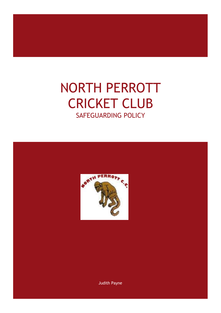# NORTH PERROTT CRICKET CLUB SAFEGUARDING POLICY



Judith Payne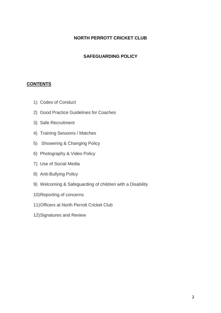#### **NORTH PERROTT CRICKET CLUB**

#### **SAFEGUARDING POLICY**

#### **CONTENTS**

- 1) Codes of Conduct
- 2) Good Practice Guidelines for Coaches
- 3) Safe Recruitment
- 4) Training Sessions / Matches
- 5) Showering & Changing Policy
- 6) Photography & Video Policy
- 7) Use of Social Media
- 8) Anti-Bullying Policy
- 9) Welcoming & Safeguarding of children with a Disability
- 10)Reporting of concerns
- 11)Officers at North Perrott Cricket Club
- 12)Signatures and Review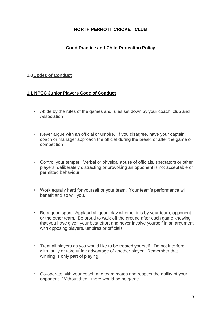#### **NORTH PERROTT CRICKET CLUB**

#### **Good Practice and Child Protection Policy**

#### **1.0Codes of Conduct**

#### **1.1 NPCC Junior Players Code of Conduct**

- Abide by the rules of the games and rules set down by your coach, club and Association
- Never argue with an official or umpire. If you disagree, have your captain, coach or manager approach the official during the break, or after the game or competition
- Control your temper. Verbal or physical abuse of officials, spectators or other players, deliberately distracting or provoking an opponent is not acceptable or permitted behaviour
- Work equally hard for yourself or your team. Your team's performance will benefit and so will you.
- Be a good sport. Applaud all good play whether it is by your team, opponent or the other team. Be proud to walk off the ground after each game knowing that you have given your best effort and never involve yourself in an argument with opposing players, umpires or officials.
- Treat all players as you would like to be treated yourself. Do not interfere with, bully or take unfair advantage of another player. Remember that winning is only part of playing.
- Co-operate with your coach and team mates and respect the ability of your opponent. Without them, there would be no game.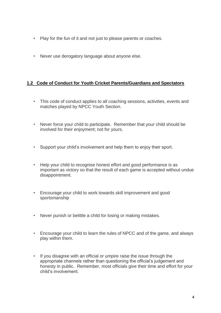- Play for the fun of it and not just to please parents or coaches.
- Never use derogatory language about anyone else.

#### **1.2 Code of Conduct for Youth Cricket Parents/Guardians and Spectators**

- This code of conduct applies to all coaching sessions, activities, events and matches played by NPCC Youth Section.
- Never force your child to participate. Remember that your child should be involved for their enjoyment; not for yours.
- Support your child's involvement and help them to enjoy their sport.
- Help your child to recognise honest effort and good performance is as important as victory so that the result of each game is accepted without undue disappointment.
- Encourage your child to work towards skill improvement and good sportsmanship
- Never punish or belittle a child for losing or making mistakes.
- Encourage your child to learn the rules of NPCC and of the game, and always play within them.
- If you disagree with an official or umpire raise the issue through the appropriate channels rather than questioning the official's judgement and honesty in public. Remember, most officials give their time and effort for your child's involvement.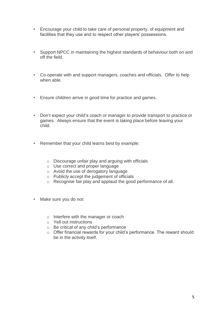- Encourage your child to take care of personal property, of equipment and facilities that they use and to respect other players' possessions.
- Support NPCC in maintaining the highest standards of behaviour both on and off the field.
- Co-operate with and support managers, coaches and officials. Offer to help when able.
- Ensure children arrive in good time for practice and games.
- Don't expect your child's coach or manager to provide transport to practice or games. Always ensure that the event is taking place before leaving your child.
- Remember that your child learns best by example:
	- o Discourage unfair play and arguing with officials
	- o Use correct and proper language
	- o Avoid the use of derogatory language
	- o Publicly accept the judgement of officials
	- o Recognise fair play and applaud the good performance of all.
- Make sure you do not:
	- o Interfere with the manager or coach
	- o Yell out instructions
	- o Be critical of any child's performance
	- o Offer financial rewards for your child's performance. The reward should be in the activity itself.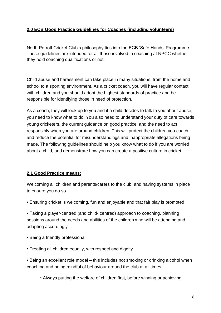## **2.0 ECB Good Practice Guidelines for Coaches (including volunteers)**

North Perrott Cricket Club's philosophy ties into the ECB 'Safe Hands' Programme. These guidelines are intended for all those involved in coaching at NPCC whether they hold coaching qualifications or not.

Child abuse and harassment can take place in many situations, from the home and school to a sporting environment. As a cricket coach, you will have regular contact with children and you should adopt the highest standards of practice and be responsible for identifying those in need of protection.

As a coach, they will look up to you and if a child decides to talk to you about abuse, you need to know what to do. You also need to understand your duty of care towards young cricketers, the current guidance on good practice, and the need to act responsibly when you are around children. This will protect the children you coach and reduce the potential for misunderstandings and inappropriate allegations being made. The following guidelines should help you know what to do if you are worried about a child, and demonstrate how you can create a positive culture in cricket.

## **2.1 Good Practice means:**

Welcoming all children and parents/carers to the club, and having systems in place to ensure you do so.

• Ensuring cricket is welcoming, fun and enjoyable and that fair play is promoted

• Taking a player-centred (and child- centred) approach to coaching, planning sessions around the needs and abilities of the children who will be attending and adapting accordingly

- Being a friendly professional
- Treating all children equally, with respect and dignity

• Being an excellent role model – this includes not smoking or drinking alcohol when coaching and being mindful of behaviour around the club at all times

• Always putting the welfare of children first, before winning or achieving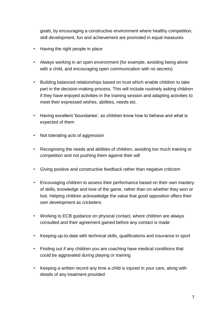goals, by encouraging a constructive environment where healthy competition, skill development, fun and achievement are promoted in equal measures

- Having the right people in place
- Always working in an open environment (for example, avoiding being alone with a child, and encouraging open communication with no secrets)
- Building balanced relationships based on trust which enable children to take part in the decision-making process. This will include routinely asking children if they have enjoyed activities in the training session and adapting activities to meet their expressed wishes, abilities, needs etc.
- Having excellent 'boundaries', so children know how to behave and what is expected of them
- Not tolerating acts of aggression
- Recognising the needs and abilities of children, avoiding too much training or competition and not pushing them against their will
- Giving positive and constructive feedback rather than negative criticism
- Encouraging children to assess their performance based on their own mastery of skills, knowledge and love of the game, rather than on whether they won or lost. Helping children acknowledge the value that good opposition offers their own development as cricketers
- Working to ECB guidance on physical contact, where children are always consulted and their agreement gained before any contact is made
- Keeping up-to-date with technical skills, qualifications and insurance in sport
- Finding out if any children you are coaching have medical conditions that could be aggravated during playing or training
- Keeping a written record any time a child is injured in your care, along with details of any treatment provided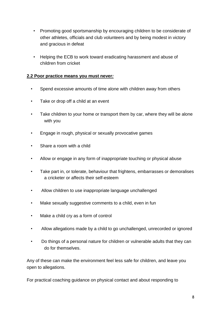- Promoting good sportsmanship by encouraging children to be considerate of other athletes, officials and club volunteers and by being modest in victory and gracious in defeat
- Helping the ECB to work toward eradicating harassment and abuse of children from cricket

#### **2.2 Poor practice means you must never***:*

- Spend excessive amounts of time alone with children away from others
- Take or drop off a child at an event
- Take children to your home or transport them by car, where they will be alone with you
- Engage in rough, physical or sexually provocative games
- Share a room with a child
- Allow or engage in any form of inappropriate touching or physical abuse
- Take part in, or tolerate, behaviour that frightens, embarrasses or demoralises a cricketer or affects their self-esteem
- Allow children to use inappropriate language unchallenged
- Make sexually suggestive comments to a child, even in fun
- Make a child cry as a form of control
- Allow allegations made by a child to go unchallenged, unrecorded or ignored
- Do things of a personal nature for children or vulnerable adults that they can do for themselves.

Any of these can make the environment feel less safe for children, and leave you open to allegations.

For practical coaching guidance on physical contact and about responding to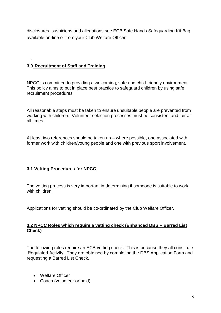disclosures, suspicions and allegations see ECB Safe Hands Safeguarding Kit Bag available on-line or from your Club Welfare Officer.

#### **3.0 Recruitment of Staff and Training**

NPCC is committed to providing a welcoming, safe and child-friendly environment. This policy aims to put in place best practice to safeguard children by using safe recruitment procedures.

All reasonable steps must be taken to ensure unsuitable people are prevented from working with children. Volunteer selection processes must be consistent and fair at all times.

At least two references should be taken up – where possible, one associated with former work with children/young people and one with previous sport involvement.

## **3.1 Vetting Procedures for NPCC**

The vetting process is very important in determining if someone is suitable to work with children.

Applications for vetting should be co-ordinated by the Club Welfare Officer.

#### **3.2 NPCC Roles which require a vetting check (Enhanced DBS + Barred List Check)**

The following roles require an ECB vetting check. This is because they all constitute 'Regulated Activity'. They are obtained by completing the DBS Application Form and requesting a Barred List Check.

- Welfare Officer
- Coach (volunteer or paid)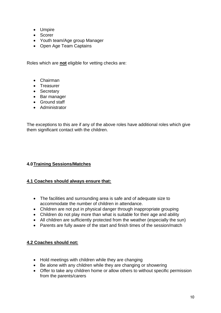- Umpire
- Scorer
- Youth team/Age group Manager
- Open Age Team Captains

Roles which are **not** eligible for vetting checks are:

- Chairman
- Treasurer
- Secretary
- Bar manager
- Ground staff
- Administrator

The exceptions to this are if any of the above roles have additional roles which give them significant contact with the children.

## **4.0Training Sessions/Matches**

#### **4.1 Coaches should always ensure that:**

- The facilities and surrounding area is safe and of adequate size to accommodate the number of children in attendance.
- Children are not put in physical danger through inappropriate grouping
- Children do not play more than what is suitable for their age and ability
- All children are sufficiently protected from the weather (especially the sun)
- Parents are fully aware of the start and finish times of the session/match

#### **4.2 Coaches should not:**

- Hold meetings with children while they are changing
- Be alone with any children while they are changing or showering
- Offer to take any children home or allow others to without specific permission from the parents/carers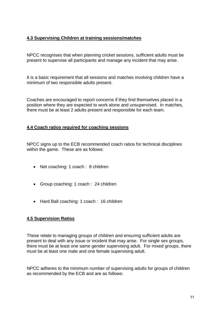## **4.3 Supervising Children at training sessions/matches**

NPCC recognises that when planning cricket sessions, sufficient adults must be present to supervise all participants and manage any incident that may arise.

It is a basic requirement that all sessions and matches involving children have a minimum of two responsible adults present.

Coaches are encouraged to report concerns if they find themselves placed in a position where they are expected to work alone and unsupervised. In matches, there must be at least 2 adults present and responsible for each team.

#### **4.4 Coach ratios required for coaching sessions**

NPCC signs up to the ECB recommended coach ratios for technical disciplines within the game. These are as follows:

- Net coaching: 1 coach : 8 children
- Group coaching: 1 coach : 24 children
- Hard Ball coaching: 1 coach : 16 children

#### **4.5 Supervision Ratios**

These relate to managing groups of children and ensuring sufficient adults are present to deal with any issue or incident that may arise. For single sex groups, there must be at least one same gender supervising adult. For mixed groups, there must be at least one male and one female supervising adult.

NPCC adheres to the minimum number of supervising adults for groups of children as recommended by the ECB and are as follows: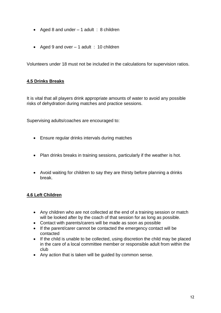- Aged 8 and under  $-1$  adult : 8 children
- Aged 9 and over  $-1$  adult : 10 children

Volunteers under 18 must not be included in the calculations for supervision ratios.

#### **4.5 Drinks Breaks**

It is vital that all players drink appropriate amounts of water to avoid any possible risks of dehydration during matches and practice sessions.

Supervising adults/coaches are encouraged to:

- Ensure regular drinks intervals during matches
- Plan drinks breaks in training sessions, particularly if the weather is hot.
- Avoid waiting for children to say they are thirsty before planning a drinks break.

#### **4.6 Left Children**

- Any children who are not collected at the end of a training session or match will be looked after by the coach of that session for as long as possible.
- Contact with parents/carers will be made as soon as possible
- If the parent/carer cannot be contacted the emergency contact will be contacted
- If the child is unable to be collected, using discretion the child may be placed in the care of a local committee member or responsible adult from within the club
- Any action that is taken will be guided by common sense.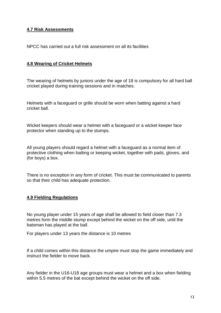#### **4.7 Risk Assessments**

NPCC has carried out a full risk assessment on all its facilities

#### **4.8 Wearing of Cricket Helmets**

The wearing of helmets by juniors under the age of 18 is compulsory for all hard ball cricket played during training sessions and in matches.

Helmets with a faceguard or grille should be worn when batting against a hard cricket ball.

Wicket keepers should wear a helmet with a faceguard or a wicket keeper face protector when standing up to the stumps.

All young players should regard a helmet with a faceguard as a normal item of protective clothing when batting or keeping wicket, together with pads, gloves, and (for boys) a box.

There is no exception in any form of cricket. This must be communicated to parents so that their child has adequate protection.

#### **4.9 Fielding Regulations**

No young player under 15 years of age shall be allowed to field closer than 7.3 metres form the middle stump except behind the wicket on the off side, until the batsman has played at the ball.

For players under 13 years the distance is 10 metres

If a child comes within this distance the umpire must stop the game immediately and instruct the fielder to move back.

Any fielder in the U16-U18 age groups must wear a helmet and a box when fielding within 5.5 metres of the bat except behind the wicket on the off side.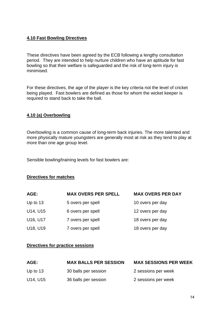#### **4.10 Fast Bowling Directives**

These directives have been agreed by the ECB following a lengthy consultation period. They are intended to help nurture children who have an aptitude for fast bowling so that their welfare is safeguarded and the risk of long-term injury is minimised.

For these directives, the age of the player is the key criteria not the level of cricket being played. Fast bowlers are defined as those for whom the wicket keeper is required to stand back to take the ball.

#### **4.10 (a) Overbowling**

Overbowling is a common cause of long-term back injuries. The more talented and more physically mature youngsters are generally most at risk as they tend to play at more than one age group level.

Sensible bowling/training levels for fast bowlers are:

#### **Directives for matches**

| AGE:       | <b>MAX OVERS PER SPELL</b> | <b>MAX OVERS PER DAY</b> |
|------------|----------------------------|--------------------------|
| Up to $13$ | 5 overs per spell          | 10 overs per day         |
| U14, U15   | 6 overs per spell          | 12 overs per day         |
| U16, U17   | 7 overs per spell          | 18 overs per day         |
| U18, U19   | 7 overs per spell          | 18 overs per day         |

#### **Directives for practice sessions**

| AGE:       | <b>MAX BALLS PER SESSION</b> | <b>MAX SESSIONS PER WEEK</b> |
|------------|------------------------------|------------------------------|
| Up to $13$ | 30 balls per session         | 2 sessions per week          |
| U14, U15   | 36 balls per session         | 2 sessions per week          |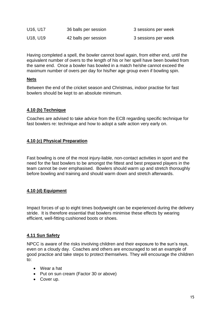| U16, U17                          | 36 balls per session | 3 sessions per week |
|-----------------------------------|----------------------|---------------------|
| U <sub>18</sub> , U <sub>19</sub> | 42 balls per session | 3 sessions per week |

Having completed a spell, the bowler cannot bowl again, from either end, until the equivalent number of overs to the length of his or her spell have been bowled from the same end. Once a bowler has bowled in a match he/she cannot exceed the maximum number of overs per day for his/her age group even if bowling spin.

#### **Nets**

Between the end of the cricket season and Christmas, indoor practise for fast bowlers should be kept to an absolute minimum.

#### **4.10 (b) Technique**

Coaches are advised to take advice from the ECB regarding specific technique for fast bowlers re: technique and how to adopt a safe action very early on.

#### **4.10 (c) Physical Preparation**

Fast bowling is one of the most injury-liable, non-contact activities in sport and the need for the fast bowlers to be amongst the fittest and best prepared players in the team cannot be over emphasised. Bowlers should warm up and stretch thoroughly before bowling and training and should warm down and stretch afterwards.

#### **4.10 (d) Equipment**

Impact forces of up to eight times bodyweight can be experienced during the delivery stride. It is therefore essential that bowlers minimise these effects by wearing efficient, well-fitting cushioned boots or shoes.

#### **4.11 Sun Safety**

NPCC is aware of the risks involving children and their exposure to the sun's rays, even on a cloudy day. Coaches and others are encouraged to set an example of good practice and take steps to protect themselves. They will encourage the children to:

- Wear a hat
- Put on sun cream (Factor 30 or above)
- Cover up.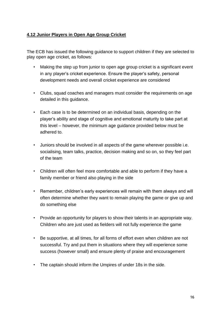#### **4.12 Junior Players in Open Age Group Cricket**

The ECB has issued the following guidance to support children if they are selected to play open age cricket, as follows:

- Making the step up from junior to open age group cricket is a significant event in any player's cricket experience. Ensure the player's safety, personal development needs and overall cricket experience are considered
- Clubs, squad coaches and managers must consider the requirements on age detailed in this guidance.
- Each case is to be determined on an individual basis, depending on the player's ability and stage of cognitive and emotional maturity to take part at this level – however, the minimum age guidance provided below must be adhered to.
- Juniors should be involved in all aspects of the game wherever possible i.e. socialising, team talks, practice, decision making and so on, so they feel part of the team
- Children will often feel more comfortable and able to perform if they have a family member or friend also playing in the side
- Remember, children's early experiences will remain with them always and will often determine whether they want to remain playing the game or give up and do something else
- Provide an opportunity for players to show their talents in an appropriate way. Children who are just used as fielders will not fully experience the game
- Be supportive, at all times, for all forms of effort even when children are not successful. Try and put them in situations where they will experience some success (however small) and ensure plenty of praise and encouragement
- The captain should inform the Umpires of under 18s in the side.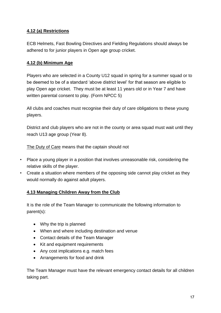## **4.12 (a) Restrictions**

ECB Helmets, Fast Bowling Directives and Fielding Regulations should always be adhered to for junior players in Open age group cricket.

## **4.12 (b) Minimum Age**

Players who are selected in a County U12 squad in spring for a summer squad or to be deemed to be of a standard 'above district level' for that season are eligible to play Open age cricket. They must be at least 11 years old or in Year 7 and have written parental consent to play. (Form NPCC 5)

All clubs and coaches must recognise their duty of care obligations to these young players.

District and club players who are not in the county or area squad must wait until they reach U13 age group (Year 8).

The Duty of Care means that the captain should not

- Place a young player in a position that involves unreasonable risk, considering the relative skills of the player.
- Create a situation where members of the opposing side cannot play cricket as they would normally do against adult players.

## **4.13 Managing Children Away from the Club**

It is the role of the Team Manager to communicate the following information to parent(s):

- Why the trip is planned
- When and where including destination and venue
- Contact details of the Team Manager
- Kit and equipment requirements
- Any cost implications e.g. match fees
- Arrangements for food and drink

The Team Manager must have the relevant emergency contact details for all children taking part.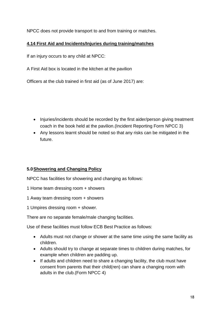NPCC does not provide transport to and from training or matches.

## **4.14 First Aid and Incidents/Injuries during training/matches**

If an injury occurs to any child at NPCC:

A First Aid box is located in the kitchen at the pavilion

Officers at the club trained in first aid (as of June 2017) are:

- Injuries/incidents should be recorded by the first aider/person giving treatment coach in the book held at the pavilion.(Incident Reporting Form NPCC 3)
- Any lessons learnt should be noted so that any risks can be mitigated in the future.

# **5.0Showering and Changing Policy**

NPCC has facilities for showering and changing as follows:

- 1 Home team dressing room + showers
- 1 Away team dressing room + showers
- 1 Umpires dressing room + shower.

There are no separate female/male changing facilities.

Use of these facilities must follow ECB Best Practice as follows:

- Adults must not change or shower at the same time using the same facility as children.
- Adults should try to change at separate times to children during matches, for example when children are padding up.
- If adults and children need to share a changing facility, the club must have consent from parents that their child(ren) can share a changing room with adults in the club.(Form NPCC 4)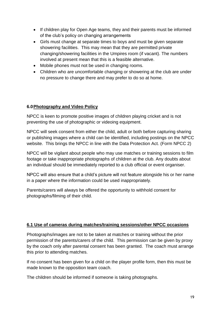- If children play for Open Age teams, they and their parents must be informed of the club's policy on changing arrangements
- Girls must change at separate times to boys and must be given separate showering facilities. This may mean that they are permitted private changing/showering facilities in the Umpires room (if vacant). The numbers involved at present mean that this is a feasible alternative.
- Mobile phones must not be used in changing rooms.
- Children who are uncomfortable changing or showering at the club are under no pressure to change there and may prefer to do so at home.

#### **6.0Photography and Video Policy**

NPCC is keen to promote positive images of children playing cricket and is not preventing the use of photographic or videoing equipment.

NPCC will seek consent from either the child, adult or both before capturing sharing or publishing images where a child can be identified, including postings on the NPCC website. This brings the NPCC in line with the Data Protection Act. (Form NPCC 2)

NPCC will be vigilant about people who may use matches or training sessions to film footage or take inappropriate photographs of children at the club. Any doubts about an individual should be immediately reported to a club official or event organiser.

NPCC will also ensure that a child's picture will not feature alongside his or her name in a paper where the information could be used inappropriately.

Parents/carers will always be offered the opportunity to withhold consent for photographs/filming of their child.

#### **6.1 Use of cameras during matches/training sessions/other NPCC occasions**

Photographs/images are not to be taken at matches or training without the prior permission of the parents/carers of the child. This permission can be given by proxy by the coach only after parental consent has been granted. The coach must arrange this prior to attending matches.

If no consent has been given for a child on the player profile form, then this must be made known to the opposition team coach.

The children should be informed if someone is taking photographs.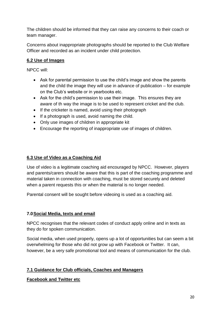The children should be informed that they can raise any concerns to their coach or team manager.

Concerns about inappropriate photographs should be reported to the Club Welfare Officer and recorded as an incident under child protection.

# **6.2 Use of Images**

NPCC will:

- Ask for parental permission to use the child's image and show the parents and the child the image they will use in advance of publication – for example on the Club's website or in yearbooks etc.
- Ask for the child's permission to use their image. This ensures they are aware of th way the image is to be used to represent cricket and the club.
- If the cricketer is named, avoid using their photograph
- If a photograph is used, avoid naming the child.
- Only use images of children in appropriate kit
- Encourage the reporting of inappropriate use of images of children.

# **6.3 Use of Video as a Coaching Aid**

Use of video is a legitimate coaching aid encouraged by NPCC. However, players and parents/carers should be aware that this is part of the coaching programme and material taken in connection with coaching, must be stored securely and deleted when a parent requests this or when the material is no longer needed.

Parental consent will be sought before videoing is used as a coaching aid.

## **7.0Social Media, texts and email**

NPCC recognises that the relevant codes of conduct apply online and in texts as they do for spoken communication.

Social media, when used properly, opens up a lot of opportunities but can seem a bit overwhelming for those who did not grow up with Facebook or Twitter. It can, however, be a very safe promotional tool and means of communication for the club.

# **7.1 Guidance for Club officials, Coaches and Managers**

# **Facebook and Twitter etc**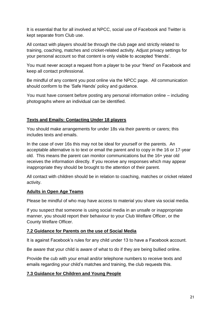It is essential that for all involved at NPCC, social use of Facebook and Twitter is kept separate from Club use.

All contact with players should be through the club page and strictly related to training, coaching, matches and cricket-related activity. Adjust privacy settings for your personal account so that content is only visible to accepted 'friends'.

You must never accept a request from a player to be your 'friend' on Facebook and keep all contact professional.

Be mindful of any content you post online via the NPCC page. All communication should conform to the 'Safe Hands' policy and guidance.

You must have consent before posting any personal information online – including photographs where an individual can be identified.

## **Texts and Emails: Contacting Under 18 players**

You should make arrangements for under 18s via their parents or carers; this includes texts and emails.

In the case of over 16s this may not be ideal for yourself or the parents. An acceptable alternative is to text or email the parent and to copy in the 16 or 17-year old. This means the parent can monitor communications but the 16+ year old receives the information directly. If you receive any responses which may appear inappropriate they should be brought to the attention of their parent.

All contact with children should be in relation to coaching, matches or cricket related activity.

#### **Adults in Open Age Teams**

Please be mindful of who may have access to material you share via social media.

If you suspect that someone is using social media in an unsafe or inappropriate manner, you should report their behaviour to your Club Welfare Officer, or the County Welfare Officer.

#### **7.2 Guidance for Parents on the use of Social Media**

It is against Facebook's rules for any child under 13 to have a Facebook account.

Be aware that your child is aware of what to do if they are being bullied online.

Provide the cub with your email and/or telephone numbers to receive texts and emails regarding your child's matches and training, the club requests this.

## **7.3 Guidance for Children and Young People**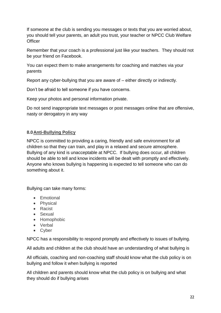If someone at the club is sending you messages or texts that you are worried about, you should tell your parents, an adult you trust, your teacher or NPCC Club Welfare **Officer** 

Remember that your coach is a professional just like your teachers. They should not be your friend on Facebook.

You can expect them to make arrangements for coaching and matches via your parents

Report any cyber-bullying that you are aware of – either directly or indirectly.

Don't be afraid to tell someone if you have concerns.

Keep your photos and personal information private.

Do not send inappropriate text messages or post messages online that are offensive, nasty or derogatory in any way

## **8.0Anti-Bullying Policy**

NPCC is committed to providing a caring, friendly and safe environment for all children so that they can train, and play in a relaxed and secure atmosphere. Bullying of any kind is unacceptable at NPCC. If bullying does occur, all children should be able to tell and know incidents will be dealt with promptly and effectively. Anyone who knows bullying is happening is expected to tell someone who can do something about it.

Bullying can take many forms:

- Emotional
- Physical
- Racist
- Sexual
- Homophobic
- Verbal
- Cyber

NPCC has a responsibility to respond promptly and effectively to issues of bullying.

All adults and children at the club should have an understanding of what bullying is

All officials, coaching and non-coaching staff should know what the club policy is on bullying and follow it when bullying is reported

All children and parents should know what the club policy is on bullying and what they should do if bullying arises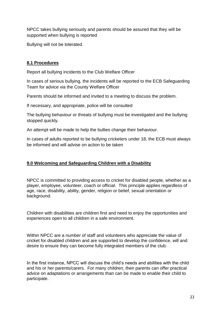NPCC takes bullying seriously and parents should be assured that they will be supported when bullying is reported

Bullying will not be tolerated.

## **8.1 Procedures**

Report all bullying incidents to the Club Welfare Officer

In cases of serious bullying, the incidents will be reported to the ECB Safeguarding Team for advice via the County Welfare Officer

Parents should be informed and invited to a meeting to discuss the problem.

If necessary, and appropriate, police will be consulted

The bullying behaviour or threats of bullying must be investigated and the bullying stopped quickly.

An attempt will be made to help the bullies change their behaviour.

In cases of adults reported to be bullying cricketers under 18, the ECB must always be informed and will advise on action to be taken

## **9.0 Welcoming and Safeguarding Children with a Disability**

NPCC is committed to providing access to cricket for disabled people, whether as a player, employee, volunteer, coach or official. This principle applies regardless of age, race, disability, ability, gender, religion or belief, sexual orientation or background.

Children with disabilities are children first and need to enjoy the opportunities and experiences open to all children in a safe environment.

Within NPCC are a number of staff and volunteers who appreciate the value of cricket for disabled children and are supported to develop the confidence, will and desire to ensure they can become fully integrated members of the club.

In the first instance, NPCC will discuss the child's needs and abilities with the child and his or her parents/carers. For many children, their parents can offer practical advice on adaptations or arrangements than can be made to enable their child to participate.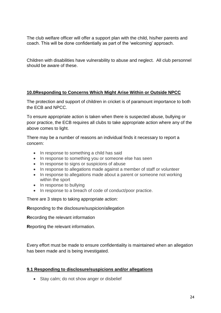The club welfare officer will offer a support plan with the child, his/her parents and coach. This will be done confidentially as part of the 'welcoming' approach.

Children with disabilities have vulnerability to abuse and neglect. All club personnel should be aware of these.

#### **10.0Responding to Concerns Which Might Arise Within or Outside NPCC**

The protection and support of children in cricket is of paramount importance to both the ECB and NPCC.

To ensure appropriate action is taken when there is suspected abuse, bullying or poor practice, the ECB requires all clubs to take appropriate action where any of the above comes to light.

There may be a number of reasons an individual finds it necessary to report a concern:

- In response to something a child has said
- In response to something you or someone else has seen
- In response to signs or suspicions of abuse
- In response to allegations made against a member of staff or volunteer
- In response to allegations made about a parent or someone not working within the sport
- In response to bullying
- In response to a breach of code of conduct/poor practice.

There are 3 steps to taking appropriate action:

**R**esponding to the disclosure/suspicion/allegation

**R**ecording the relevant information

**R**eporting the relevant information.

Every effort must be made to ensure confidentiality is maintained when an allegation has been made and is being investigated.

#### **9.1 Responding to disclosure/suspicions and/or allegations**

• Stay calm; do not show anger or disbelief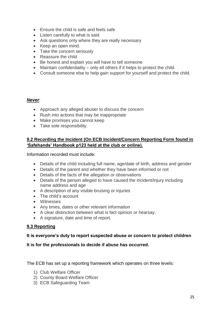- Ensure the child is safe and feels safe
- Listen carefully to what is said
- Ask questions only where they are really necessary
- Keep an open mind.
- Take the concern seriously
- Reassure the child
- Be honest and explain you will have to tell someone
- Maintain confidentiality only ell others if it helps to protect the child.
- Consult someone else to help gain support for yourself and protect the child.

#### *Never*:

- Approach any alleged abuser to discuss the concern
- Rush into actions that may be inappropriate
- Make promises you cannot keep
- Take sole responsibility.

#### **9.2 Recording the Incident (On ECB Incident/Concern Reporting Form found in 'Safehands' Handbook p123 held at the club or online).**

Information recorded must include:

- Details of the child including full name, age/date of birth, address and gender
- Details of the parent and whether they have been informed or not
- Details of the facts of the allegation or observations
- Details of the person alleged to have caused the incident/injury including name address and age
- A description of any visible bruising or injuries
- The child's account
- Witnesses
- Any times, dates or other relevant information
- A clear distinction between what is fact opinion or hearsay.
- A signature, date and time of report.

#### **9.3 Reporting**

#### **It is everyone's duty to report suspected abuse or concern to protect children**

#### **It is for the professionals to decide if abuse has occurred.**

The ECB has set up a reporting framework which operates on three levels:

- 1) Club Welfare Officer
- 2) County Board Welfare Officer
- 3) ECB Safeguarding Team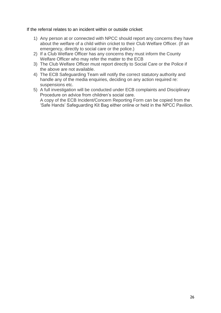If the referral relates to an incident within or outside cricket:

- 1) Any person at or connected with NPCC should report any concerns they have about the welfare of a child within cricket to their Club Welfare Officer. (If an emergency, directly to social care or the police.)
- 2) If a Club Welfare Officer has any concerns they must inform the County Welfare Officer who may refer the matter to the ECB
- 3) The Club Welfare Officer must report directly to Social Care or the Police if the above are not available.
- 4) The ECB Safeguarding Team will notify the correct statutory authority and handle any of the media enquiries, deciding on any action required re: suspensions etc.
- 5) A full investigation will be conducted under ECB complaints and Disciplinary Procedure on advice from children's social care. A copy of the ECB Incident/Concern Reporting Form can be copied from the 'Safe Hands' Safeguarding Kit Bag either online or held in the NPCC Pavilion.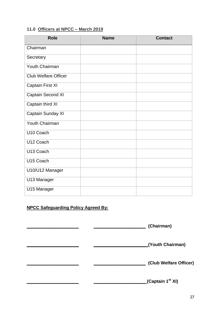# **11.0 Officers at NPCC – March 2019**

| <b>Role</b>                 | <b>Name</b> | <b>Contact</b> |
|-----------------------------|-------------|----------------|
| Chairman                    |             |                |
| Secretary                   |             |                |
| Youth Chairman              |             |                |
| <b>Club Welfare Officer</b> |             |                |
| Captain First XI            |             |                |
| <b>Captain Second XI</b>    |             |                |
| Captain third XI            |             |                |
| Captain Sunday XI           |             |                |
| <b>Youth Chairman</b>       |             |                |
| U10 Coach                   |             |                |
| U12 Coach                   |             |                |
| U13 Coach                   |             |                |
| U15 Coach                   |             |                |
| U10/U12 Manager             |             |                |
| U13 Manager                 |             |                |
| U15 Manager                 |             |                |

# **NPCC Safeguarding Policy Agreed By:**

| (Chairman)                   |
|------------------------------|
| (Youth Chairman)             |
| (Club Welfare Officer)       |
| (Captain 1 <sup>st</sup> XI) |